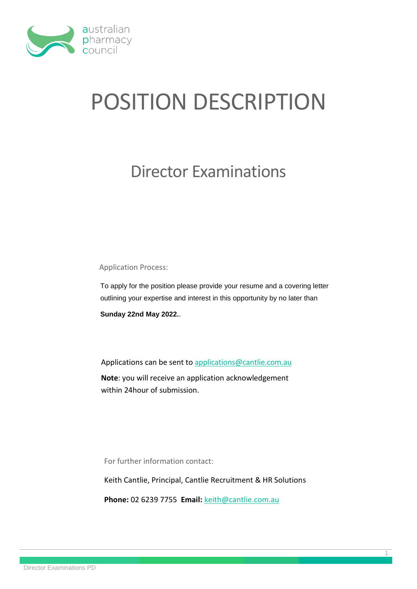

# POSITION DESCRIPTION

## Director Examinations

Application Process:

To apply for the position please provide your resume and a covering letter outlining your expertise and interest in this opportunity by no later than

**Sunday 22nd May 2022.**.

Applications can be sent to [applications@cantlie.com.au](mailto:applications@cantlie.com.au)

**Note**: you will receive an application acknowledgement within 24hour of submission.

For further information contact:

Keith Cantlie, Principal, Cantlie Recruitment & HR Solutions

1

**Phone:** 02 6239 7755 **Email:** [keith@cantlie.com.au](mailto:keith@cantlie.com.au)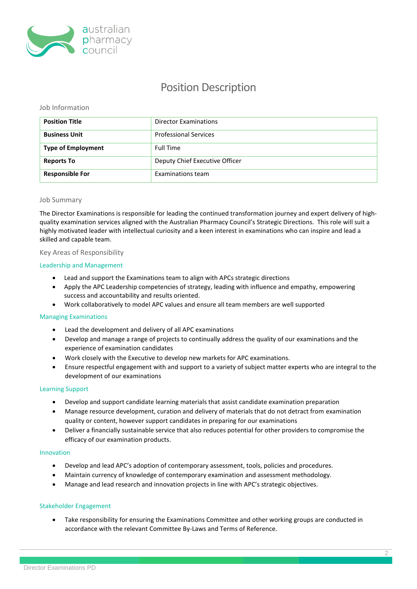

### Position Description

#### Job Information

| <b>Position Title</b>     | <b>Director Examinations</b>   |
|---------------------------|--------------------------------|
| <b>Business Unit</b>      | <b>Professional Services</b>   |
| <b>Type of Employment</b> | <b>Full Time</b>               |
| <b>Reports To</b>         | Deputy Chief Executive Officer |
| <b>Responsible For</b>    | Examinations team              |

#### Job Summary

The Director Examinations is responsible for leading the continued transformation journey and expert delivery of highquality examination services aligned with the Australian Pharmacy Council's Strategic Directions. This role will suit a highly motivated leader with intellectual curiosity and a keen interest in examinations who can inspire and lead a skilled and capable team.

#### Key Areas of Responsibility

#### Leadership and Management

- Lead and support the Examinations team to align with APCs strategic directions
- Apply the APC Leadership competencies of strategy, leading with influence and empathy, empowering success and accountability and results oriented.
- Work collaboratively to model APC values and ensure all team members are well supported

#### Managing Examinations

- Lead the development and delivery of all APC examinations
- Develop and manage a range of projects to continually address the quality of our examinations and the experience of examination candidates
- Work closely with the Executive to develop new markets for APC examinations.
- Ensure respectful engagement with and support to a variety of subject matter experts who are integral to the development of our examinations

#### Learning Support

- Develop and support candidate learning materials that assist candidate examination preparation
- Manage resource development, curation and delivery of materials that do not detract from examination quality or content, however support candidates in preparing for our examinations
- Deliver a financially sustainable service that also reduces potential for other providers to compromise the efficacy of our examination products.

#### Innovation

- Develop and lead APC's adoption of contemporary assessment, tools, policies and procedures.
- Maintain currency of knowledge of contemporary examination and assessment methodology.
- Manage and lead research and innovation projects in line with APC's strategic objectives.

#### Stakeholder Engagement

 Take responsibility for ensuring the Examinations Committee and other working groups are conducted in accordance with the relevant Committee By-Laws and Terms of Reference.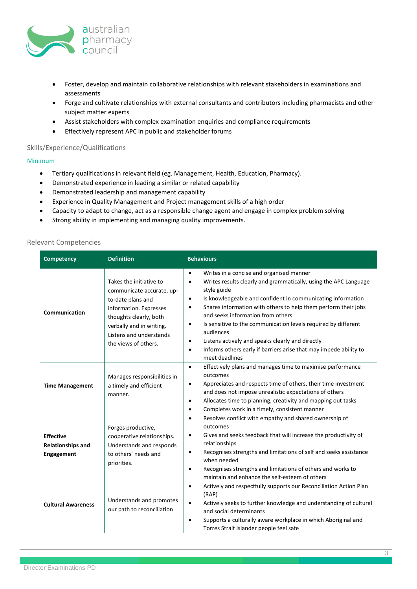

- Foster, develop and maintain collaborative relationships with relevant stakeholders in examinations and assessments
- Forge and cultivate relationships with external consultants and contributors including pharmacists and other subject matter experts
- Assist stakeholders with complex examination enquiries and compliance requirements
- Effectively represent APC in public and stakeholder forums

#### Skills/Experience/Qualifications

#### Minimum

- Tertiary qualifications in relevant field (eg. Management, Health, Education, Pharmacy).
- Demonstrated experience in leading a similar or related capability
- Demonstrated leadership and management capability
- Experience in Quality Management and Project management skills of a high order
- Capacity to adapt to change, act as a responsible change agent and engage in complex problem solving
- Strong ability in implementing and managing quality improvements.

#### Relevant Competencies

| <b>Competency</b>                                                 | <b>Definition</b>                                                                                                                                                                                            | <b>Behaviours</b>                                                                                                                                                                                                                                                                                                                                                                                                                                                                                                                                                                                      |  |
|-------------------------------------------------------------------|--------------------------------------------------------------------------------------------------------------------------------------------------------------------------------------------------------------|--------------------------------------------------------------------------------------------------------------------------------------------------------------------------------------------------------------------------------------------------------------------------------------------------------------------------------------------------------------------------------------------------------------------------------------------------------------------------------------------------------------------------------------------------------------------------------------------------------|--|
| Communication                                                     | Takes the initiative to<br>communicate accurate, up-<br>to-date plans and<br>information. Expresses<br>thoughts clearly, both<br>verbally and in writing.<br>Listens and understands<br>the views of others. | Writes in a concise and organised manner<br>$\bullet$<br>Writes results clearly and grammatically, using the APC Language<br>$\bullet$<br>style guide<br>Is knowledgeable and confident in communicating information<br>$\bullet$<br>Shares information with others to help them perform their jobs<br>٠<br>and seeks information from others<br>Is sensitive to the communication levels required by different<br>٠<br>audiences<br>Listens actively and speaks clearly and directly<br>$\bullet$<br>Informs others early if barriers arise that may impede ability to<br>$\bullet$<br>meet deadlines |  |
| <b>Time Management</b>                                            | Manages responsibilities in<br>a timely and efficient<br>manner.                                                                                                                                             | Effectively plans and manages time to maximise performance<br>$\bullet$<br>outcomes<br>Appreciates and respects time of others, their time investment<br>$\bullet$<br>and does not impose unrealistic expectations of others<br>Allocates time to planning, creativity and mapping out tasks<br>$\bullet$<br>Completes work in a timely, consistent manner<br>$\bullet$                                                                                                                                                                                                                                |  |
| <b>Effective</b><br><b>Relationships and</b><br><b>Engagement</b> | Forges productive,<br>cooperative relationships.<br>Understands and responds<br>to others' needs and<br>priorities.                                                                                          | Resolves conflict with empathy and shared ownership of<br>$\bullet$<br>outcomes<br>Gives and seeks feedback that will increase the productivity of<br>$\bullet$<br>relationships<br>Recognises strengths and limitations of self and seeks assistance<br>$\bullet$<br>when needed<br>Recognises strengths and limitations of others and works to<br>٠<br>maintain and enhance the self-esteem of others                                                                                                                                                                                                |  |
| <b>Cultural Awareness</b>                                         | Understands and promotes<br>our path to reconciliation                                                                                                                                                       | Actively and respectfully supports our Reconciliation Action Plan<br>$\bullet$<br>(RAP)<br>Actively seeks to further knowledge and understanding of cultural<br>$\bullet$<br>and social determinants<br>Supports a culturally aware workplace in which Aboriginal and<br>$\bullet$<br>Torres Strait Islander people feel safe                                                                                                                                                                                                                                                                          |  |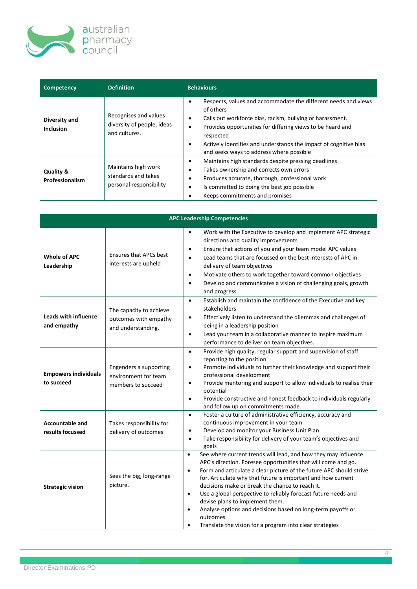

| Competency                              | <b>Definition</b>                                                     | <b>Behaviours</b>                                                                                                                                                                                                                                                                                                                                  |
|-----------------------------------------|-----------------------------------------------------------------------|----------------------------------------------------------------------------------------------------------------------------------------------------------------------------------------------------------------------------------------------------------------------------------------------------------------------------------------------------|
| Diversity and<br><b>Inclusion</b>       | Recognises and values<br>diversity of people, ideas<br>and cultures.  | Respects, values and accommodate the different needs and views<br>of others<br>Calls out workforce bias, racism, bullying or harassment.<br>٠<br>Provides opportunities for differing views to be heard and<br>٠<br>respected<br>Actively identifies and understands the impact of cognitive bias<br>٠<br>and seeks ways to address where possible |
| <b>Quality &amp;</b><br>Professionalism | Maintains high work<br>standards and takes<br>personal responsibility | Maintains high standards despite pressing deadlines<br>٠<br>Takes ownership and corrects own errors<br>٠<br>Produces accurate, thorough, professional work<br>٠<br>Is committed to doing the best job possible<br>٠<br>Keeps commitments and promises                                                                                              |

| <b>APC Leadership Competencies</b>         |                                                                        |                                                                                                                                                                                                                                                                                                                                                                                                                                                                                                                                                                                                                                         |  |
|--------------------------------------------|------------------------------------------------------------------------|-----------------------------------------------------------------------------------------------------------------------------------------------------------------------------------------------------------------------------------------------------------------------------------------------------------------------------------------------------------------------------------------------------------------------------------------------------------------------------------------------------------------------------------------------------------------------------------------------------------------------------------------|--|
| Whole of APC<br>Leadership                 | <b>Ensures that APCs best</b><br>interests are upheld                  | Work with the Executive to develop and implement APC strategic<br>$\bullet$<br>directions and quality improvements<br>Ensure that actions of you and your team model APC values<br>$\bullet$<br>Lead teams that are focussed on the best interests of APC in<br>$\bullet$<br>delivery of team objectives<br>Motivate others to work together toward common objectives<br>$\bullet$<br>Develop and communicates a vision of challenging goals, growth<br>$\bullet$<br>and progress                                                                                                                                                       |  |
| <b>Leads with influence</b><br>and empathy | The capacity to achieve<br>outcomes with empathy<br>and understanding. | Establish and maintain the confidence of the Executive and key<br>$\bullet$<br>stakeholders<br>Effectively listen to understand the dilemmas and challenges of<br>$\bullet$<br>being in a leadership position<br>Lead your team in a collaborative manner to inspire maximum<br>$\bullet$<br>performance to deliver on team objectives.                                                                                                                                                                                                                                                                                                 |  |
| <b>Empowers individuals</b><br>to succeed  | Engenders a supporting<br>environment for team<br>members to succeed   | Provide high quality, regular support and supervision of staff<br>$\bullet$<br>reporting to the position<br>Promote individuals to further their knowledge and support their<br>$\bullet$<br>professional development<br>Provide mentoring and support to allow individuals to realise their<br>$\bullet$<br>potential<br>Provide constructive and honest feedback to individuals regularly<br>$\bullet$<br>and follow up on commitments made                                                                                                                                                                                           |  |
| <b>Accountable and</b><br>results focussed | Takes responsibility for<br>delivery of outcomes                       | Foster a culture of administrative efficiency, accuracy and<br>$\bullet$<br>continuous improvement in your team<br>Develop and monitor your Business Unit Plan<br>$\bullet$<br>Take responsibility for delivery of your team's objectives and<br>$\bullet$<br>goals                                                                                                                                                                                                                                                                                                                                                                     |  |
| <b>Strategic vision</b>                    | Sees the big, long-range<br>picture.                                   | See where current trends will lead, and how they may influence<br>$\bullet$<br>APC's direction. Foresee opportunities that will come and go.<br>Form and articulate a clear picture of the future APC should strive<br>$\bullet$<br>for. Articulate why that future is important and how current<br>decisions make or break the chance to reach it.<br>Use a global perspective to reliably forecast future needs and<br>$\bullet$<br>devise plans to implement them.<br>Analyse options and decisions based on long-term payoffs or<br>$\bullet$<br>outcomes.<br>Translate the vision for a program into clear strategies<br>$\bullet$ |  |